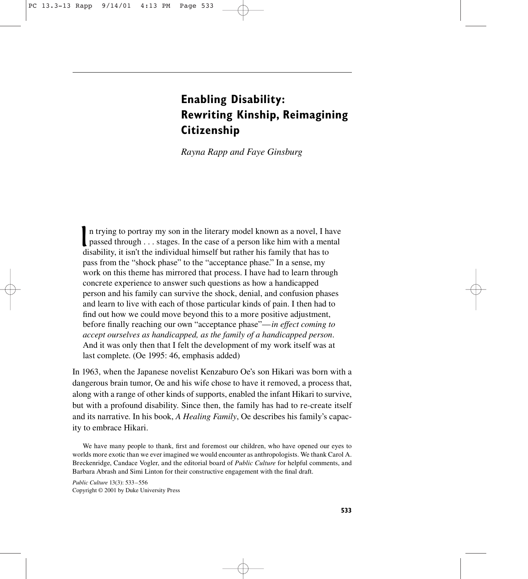# **Enabling Disability: Rewriting Kinship, Reimagining Citizenship**

*Rayna Rapp and Faye Ginsburg* 

In trying to portray my son in the literary model known as a novel, I have passed through . . . stages. In the case of a person like him with a mental n trying to portray my son in the literary model known as a novel, I have disability, it isn't the individual himself but rather his family that has to pass from the "shock phase" to the "acceptance phase." In a sense, my work on this theme has mirrored that process. I have had to learn through concrete experience to answer such questions as how a handicapped person and his family can survive the shock, denial, and confusion phases and learn to live with each of those particular kinds of pain. I then had to find out how we could move beyond this to a more positive adjustment, before finally reaching our own "acceptance phase"—*in effect coming to accept ourselves as handicapped, as the family of a handicapped person*. And it was only then that I felt the development of my work itself was at last complete. (Oe 1995: 46, emphasis added) l<br>d<br>d<br>...

In 1963, when the Japanese novelist Kenzaburo Oe's son Hikari was born with a dangerous brain tumor, Oe and his wife chose to have it removed, a process that, along with a range of other kinds of supports, enabled the infant Hikari to survive, but with a profound disability. Since then, the family has had to re-create itself and its narrative. In his book, *A Healing Family*, Oe describes his family's capacity to embrace Hikari.

We have many people to thank, first and foremost our children, who have opened our eyes to worlds more exotic than we ever imagined we would encounter as anthropologists. We thank Carol A. Breckenridge, Candace Vogler, and the editorial board of *Public Culture* for helpful comments, and Barbara Abrash and Simi Linton for their constructive engagement with the final draft.

*Public Culture* 13(3): 533–556 Copyright © 2001 by Duke University Press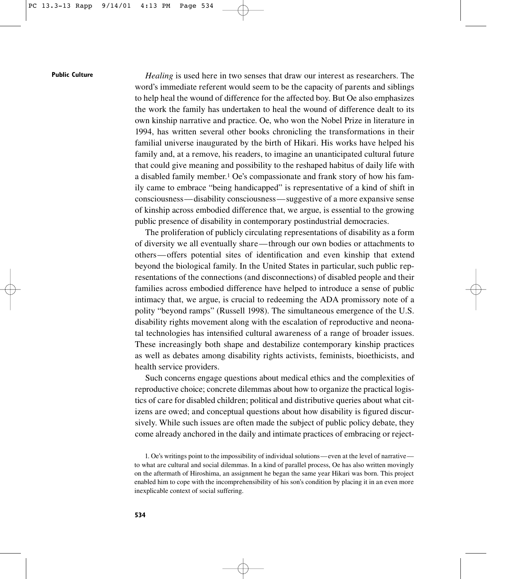*Healing* is used here in two senses that draw our interest as researchers. The word's immediate referent would seem to be the capacity of parents and siblings to help heal the wound of difference for the affected boy. But Oe also emphasizes the work the family has undertaken to heal the wound of difference dealt to its own kinship narrative and practice. Oe, who won the Nobel Prize in literature in 1994, has written several other books chronicling the transformations in their familial universe inaugurated by the birth of Hikari. His works have helped his family and, at a remove, his readers, to imagine an unanticipated cultural future that could give meaning and possibility to the reshaped habitus of daily life with a disabled family member.1 Oe's compassionate and frank story of how his family came to embrace "being handicapped" is representative of a kind of shift in consciousness—disability consciousness—suggestive of a more expansive sense of kinship across embodied difference that, we argue, is essential to the growing public presence of disability in contemporary postindustrial democracies.

The proliferation of publicly circulating representations of disability as a form of diversity we all eventually share—through our own bodies or attachments to others—offers potential sites of identification and even kinship that extend beyond the biological family. In the United States in particular, such public representations of the connections (and disconnections) of disabled people and their families across embodied difference have helped to introduce a sense of public intimacy that, we argue, is crucial to redeeming the ADA promissory note of a polity "beyond ramps" (Russell 1998). The simultaneous emergence of the U.S. disability rights movement along with the escalation of reproductive and neonatal technologies has intensified cultural awareness of a range of broader issues. These increasingly both shape and destabilize contemporary kinship practices as well as debates among disability rights activists, feminists, bioethicists, and health service providers.

Such concerns engage questions about medical ethics and the complexities of reproductive choice; concrete dilemmas about how to organize the practical logistics of care for disabled children; political and distributive queries about what citizens are owed; and conceptual questions about how disability is figured discursively. While such issues are often made the subject of public policy debate, they come already anchored in the daily and intimate practices of embracing or reject-

1. Oe's writings point to the impossibility of individual solutions—even at the level of narrative to what are cultural and social dilemmas. In a kind of parallel process, Oe has also written movingly on the aftermath of Hiroshima, an assignment he began the same year Hikari was born. This project enabled him to cope with the incomprehensibility of his son's condition by placing it in an even more inexplicable context of social suffering.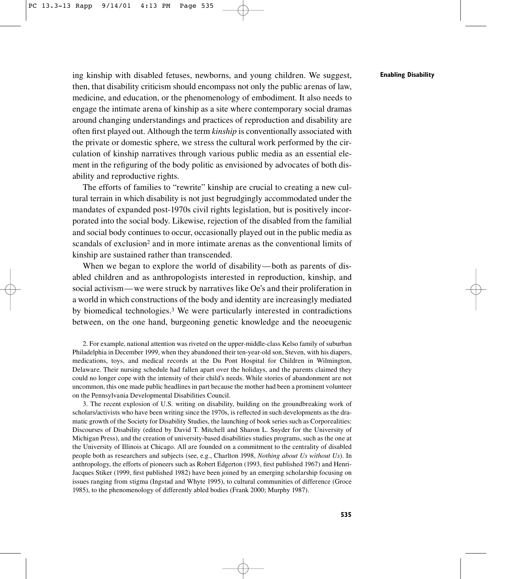ing kinship with disabled fetuses, newborns, and young children. We suggest, then, that disability criticism should encompass not only the public arenas of law, medicine, and education, or the phenomenology of embodiment. It also needs to engage the intimate arena of kinship as a site where contemporary social dramas around changing understandings and practices of reproduction and disability are often first played out. Although the term *kinship* is conventionally associated with the private or domestic sphere, we stress the cultural work performed by the circulation of kinship narratives through various public media as an essential element in the refiguring of the body politic as envisioned by advocates of both disability and reproductive rights.

The efforts of families to "rewrite" kinship are crucial to creating a new cultural terrain in which disability is not just begrudgingly accommodated under the mandates of expanded post-1970s civil rights legislation, but is positively incorporated into the social body. Likewise, rejection of the disabled from the familial and social body continues to occur, occasionally played out in the public media as scandals of exclusion2 and in more intimate arenas as the conventional limits of kinship are sustained rather than transcended.

When we began to explore the world of disability—both as parents of disabled children and as anthropologists interested in reproduction, kinship, and social activism—we were struck by narratives like Oe's and their proliferation in a world in which constructions of the body and identity are increasingly mediated by biomedical technologies.3 We were particularly interested in contradictions between, on the one hand, burgeoning genetic knowledge and the neoeugenic

2. For example, national attention was riveted on the upper-middle-class Kelso family of suburban Philadelphia in December 1999, when they abandoned their ten-year-old son, Steven, with his diapers, medications, toys, and medical records at the Du Pont Hospital for Children in Wilmington, Delaware. Their nursing schedule had fallen apart over the holidays, and the parents claimed they could no longer cope with the intensity of their child's needs. While stories of abandonment are not uncommon, this one made public headlines in part because the mother had been a prominent volunteer on the Pennsylvania Developmental Disabilities Council.

3. The recent explosion of U.S. writing on disability, building on the groundbreaking work of scholars/activists who have been writing since the 1970s, is reflected in such developments as the dramatic growth of the Society for Disability Studies, the launching of book series such as Corporealities: Discourses of Disability (edited by David T. Mitchell and Sharon L. Snyder for the University of Michigan Press), and the creation of university-based disabilities studies programs, such as the one at the University of Illinois at Chicago. All are founded on a commitment to the centrality of disabled people both as researchers and subjects (see, e.g., Charlton 1998, *Nothing about Us without Us*). In anthropology, the efforts of pioneers such as Robert Edgerton (1993, first published 1967) and Henri-Jacques Stiker (1999, first published 1982) have been joined by an emerging scholarship focusing on issues ranging from stigma (Ingstad and Whyte 1995), to cultural communities of difference (Groce 1985), to the phenomenology of differently abled bodies (Frank 2000; Murphy 1987).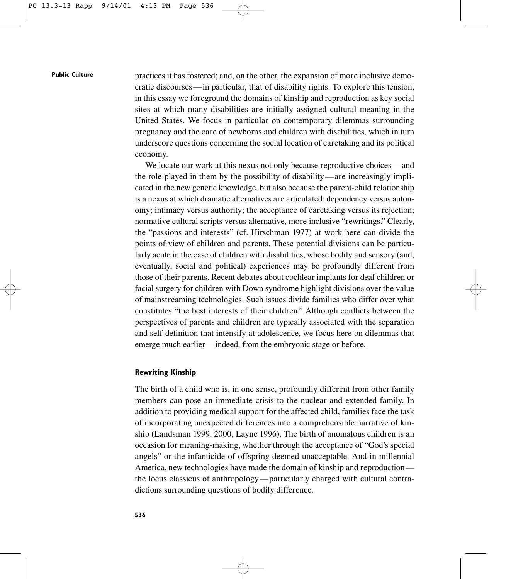practices it has fostered; and, on the other, the expansion of more inclusive democratic discourses—in particular, that of disability rights. To explore this tension, in this essay we foreground the domains of kinship and reproduction as key social sites at which many disabilities are initially assigned cultural meaning in the United States. We focus in particular on contemporary dilemmas surrounding pregnancy and the care of newborns and children with disabilities, which in turn underscore questions concerning the social location of caretaking and its political economy.

We locate our work at this nexus not only because reproductive choices—and the role played in them by the possibility of disability—are increasingly implicated in the new genetic knowledge, but also because the parent-child relationship is a nexus at which dramatic alternatives are articulated: dependency versus autonomy; intimacy versus authority; the acceptance of caretaking versus its rejection; normative cultural scripts versus alternative, more inclusive "rewritings." Clearly, the "passions and interests" (cf. Hirschman 1977) at work here can divide the points of view of children and parents. These potential divisions can be particularly acute in the case of children with disabilities, whose bodily and sensory (and, eventually, social and political) experiences may be profoundly different from those of their parents. Recent debates about cochlear implants for deaf children or facial surgery for children with Down syndrome highlight divisions over the value of mainstreaming technologies. Such issues divide families who differ over what constitutes "the best interests of their children." Although conflicts between the perspectives of parents and children are typically associated with the separation and self-definition that intensify at adolescence, we focus here on dilemmas that emerge much earlier—indeed, from the embryonic stage or before.

## **Rewriting Kinship**

The birth of a child who is, in one sense, profoundly different from other family members can pose an immediate crisis to the nuclear and extended family. In addition to providing medical support for the affected child, families face the task of incorporating unexpected differences into a comprehensible narrative of kinship (Landsman 1999, 2000; Layne 1996). The birth of anomalous children is an occasion for meaning-making, whether through the acceptance of "God's special angels" or the infanticide of offspring deemed unacceptable. And in millennial America, new technologies have made the domain of kinship and reproduction the locus classicus of anthropology—particularly charged with cultural contradictions surrounding questions of bodily difference.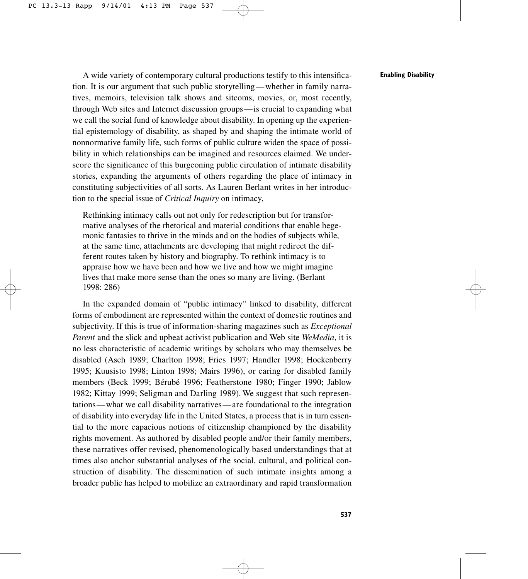A wide variety of contemporary cultural productions testify to this intensification. It is our argument that such public storytelling—whether in family narratives, memoirs, television talk shows and sitcoms, movies, or, most recently, through Web sites and Internet discussion groups—is crucial to expanding what we call the social fund of knowledge about disability. In opening up the experiential epistemology of disability, as shaped by and shaping the intimate world of nonnormative family life, such forms of public culture widen the space of possibility in which relationships can be imagined and resources claimed. We underscore the significance of this burgeoning public circulation of intimate disability stories, expanding the arguments of others regarding the place of intimacy in constituting subjectivities of all sorts. As Lauren Berlant writes in her introduction to the special issue of *Critical Inquiry* on intimacy,

Rethinking intimacy calls out not only for redescription but for transformative analyses of the rhetorical and material conditions that enable hegemonic fantasies to thrive in the minds and on the bodies of subjects while, at the same time, attachments are developing that might redirect the different routes taken by history and biography. To rethink intimacy is to appraise how we have been and how we live and how we might imagine lives that make more sense than the ones so many are living. (Berlant 1998: 286)

In the expanded domain of "public intimacy" linked to disability, different forms of embodiment are represented within the context of domestic routines and subjectivity. If this is true of information-sharing magazines such as *Exceptional Parent* and the slick and upbeat activist publication and Web site *WeMedia*, it is no less characteristic of academic writings by scholars who may themselves be disabled (Asch 1989; Charlton 1998; Fries 1997; Handler 1998; Hockenberry 1995; Kuusisto 1998; Linton 1998; Mairs 1996), or caring for disabled family members (Beck 1999; Bérubé 1996; Featherstone 1980; Finger 1990; Jablow 1982; Kittay 1999; Seligman and Darling 1989). We suggest that such representations—what we call disability narratives—are foundational to the integration of disability into everyday life in the United States, a process that is in turn essential to the more capacious notions of citizenship championed by the disability rights movement. As authored by disabled people and/or their family members, these narratives offer revised, phenomenologically based understandings that at times also anchor substantial analyses of the social, cultural, and political construction of disability. The dissemination of such intimate insights among a broader public has helped to mobilize an extraordinary and rapid transformation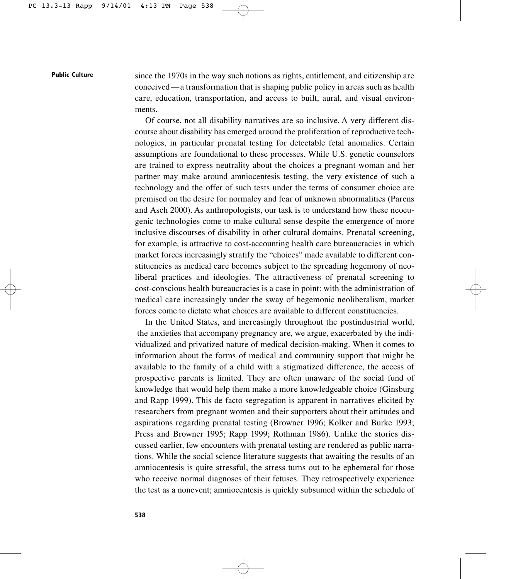since the 1970s in the way such notions as rights, entitlement, and citizenship are conceived—a transformation that is shaping public policy in areas such as health care, education, transportation, and access to built, aural, and visual environments.

Of course, not all disability narratives are so inclusive. A very different discourse about disability has emerged around the proliferation of reproductive technologies, in particular prenatal testing for detectable fetal anomalies. Certain assumptions are foundational to these processes. While U.S. genetic counselors are trained to express neutrality about the choices a pregnant woman and her partner may make around amniocentesis testing, the very existence of such a technology and the offer of such tests under the terms of consumer choice are premised on the desire for normalcy and fear of unknown abnormalities (Parens and Asch 2000). As anthropologists, our task is to understand how these neoeugenic technologies come to make cultural sense despite the emergence of more inclusive discourses of disability in other cultural domains. Prenatal screening, for example, is attractive to cost-accounting health care bureaucracies in which market forces increasingly stratify the "choices" made available to different constituencies as medical care becomes subject to the spreading hegemony of neoliberal practices and ideologies. The attractiveness of prenatal screening to cost-conscious health bureaucracies is a case in point: with the administration of medical care increasingly under the sway of hegemonic neoliberalism, market forces come to dictate what choices are available to different constituencies.

In the United States, and increasingly throughout the postindustrial world, the anxieties that accompany pregnancy are, we argue, exacerbated by the individualized and privatized nature of medical decision-making. When it comes to information about the forms of medical and community support that might be available to the family of a child with a stigmatized difference, the access of prospective parents is limited. They are often unaware of the social fund of knowledge that would help them make a more knowledgeable choice (Ginsburg and Rapp 1999). This de facto segregation is apparent in narratives elicited by researchers from pregnant women and their supporters about their attitudes and aspirations regarding prenatal testing (Browner 1996; Kolker and Burke 1993; Press and Browner 1995; Rapp 1999; Rothman 1986). Unlike the stories discussed earlier, few encounters with prenatal testing are rendered as public narrations. While the social science literature suggests that awaiting the results of an amniocentesis is quite stressful, the stress turns out to be ephemeral for those who receive normal diagnoses of their fetuses. They retrospectively experience the test as a nonevent; amniocentesis is quickly subsumed within the schedule of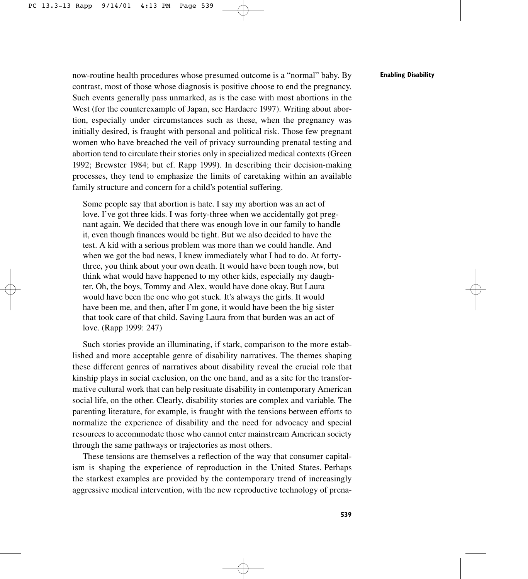now-routine health procedures whose presumed outcome is a "normal" baby. By contrast, most of those whose diagnosis is positive choose to end the pregnancy. Such events generally pass unmarked, as is the case with most abortions in the West (for the counterexample of Japan, see Hardacre 1997). Writing about abortion, especially under circumstances such as these, when the pregnancy was initially desired, is fraught with personal and political risk. Those few pregnant women who have breached the veil of privacy surrounding prenatal testing and abortion tend to circulate their stories only in specialized medical contexts (Green 1992; Brewster 1984; but cf. Rapp 1999). In describing their decision-making processes, they tend to emphasize the limits of caretaking within an available family structure and concern for a child's potential suffering.

Some people say that abortion is hate. I say my abortion was an act of love. I've got three kids. I was forty-three when we accidentally got pregnant again. We decided that there was enough love in our family to handle it, even though finances would be tight. But we also decided to have the test. A kid with a serious problem was more than we could handle. And when we got the bad news, I knew immediately what I had to do. At fortythree, you think about your own death. It would have been tough now, but think what would have happened to my other kids, especially my daughter. Oh, the boys, Tommy and Alex, would have done okay. But Laura would have been the one who got stuck. It's always the girls. It would have been me, and then, after I'm gone, it would have been the big sister that took care of that child. Saving Laura from that burden was an act of love. (Rapp 1999: 247)

Such stories provide an illuminating, if stark, comparison to the more established and more acceptable genre of disability narratives. The themes shaping these different genres of narratives about disability reveal the crucial role that kinship plays in social exclusion, on the one hand, and as a site for the transformative cultural work that can help resituate disability in contemporary American social life, on the other. Clearly, disability stories are complex and variable. The parenting literature, for example, is fraught with the tensions between efforts to normalize the experience of disability and the need for advocacy and special resources to accommodate those who cannot enter mainstream American society through the same pathways or trajectories as most others.

These tensions are themselves a reflection of the way that consumer capitalism is shaping the experience of reproduction in the United States. Perhaps the starkest examples are provided by the contemporary trend of increasingly aggressive medical intervention, with the new reproductive technology of prena-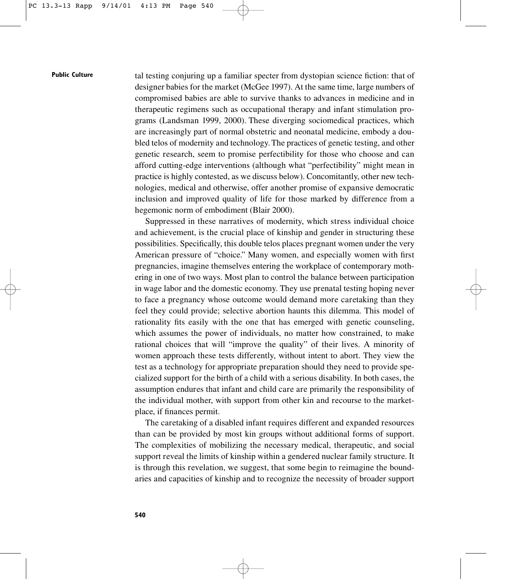tal testing conjuring up a familiar specter from dystopian science fiction: that of designer babies for the market (McGee 1997). At the same time, large numbers of compromised babies are able to survive thanks to advances in medicine and in therapeutic regimens such as occupational therapy and infant stimulation programs (Landsman 1999, 2000). These diverging sociomedical practices, which are increasingly part of normal obstetric and neonatal medicine, embody a doubled telos of modernity and technology. The practices of genetic testing, and other genetic research, seem to promise perfectibility for those who choose and can afford cutting-edge interventions (although what "perfectibility" might mean in practice is highly contested, as we discuss below). Concomitantly, other new technologies, medical and otherwise, offer another promise of expansive democratic inclusion and improved quality of life for those marked by difference from a hegemonic norm of embodiment (Blair 2000).

Suppressed in these narratives of modernity, which stress individual choice and achievement, is the crucial place of kinship and gender in structuring these possibilities. Specifically, this double telos places pregnant women under the very American pressure of "choice." Many women, and especially women with first pregnancies, imagine themselves entering the workplace of contemporary mothering in one of two ways. Most plan to control the balance between participation in wage labor and the domestic economy. They use prenatal testing hoping never to face a pregnancy whose outcome would demand more caretaking than they feel they could provide; selective abortion haunts this dilemma. This model of rationality fits easily with the one that has emerged with genetic counseling, which assumes the power of individuals, no matter how constrained, to make rational choices that will "improve the quality" of their lives. A minority of women approach these tests differently, without intent to abort. They view the test as a technology for appropriate preparation should they need to provide specialized support for the birth of a child with a serious disability. In both cases, the assumption endures that infant and child care are primarily the responsibility of the individual mother, with support from other kin and recourse to the marketplace, if finances permit.

The caretaking of a disabled infant requires different and expanded resources than can be provided by most kin groups without additional forms of support. The complexities of mobilizing the necessary medical, therapeutic, and social support reveal the limits of kinship within a gendered nuclear family structure. It is through this revelation, we suggest, that some begin to reimagine the boundaries and capacities of kinship and to recognize the necessity of broader support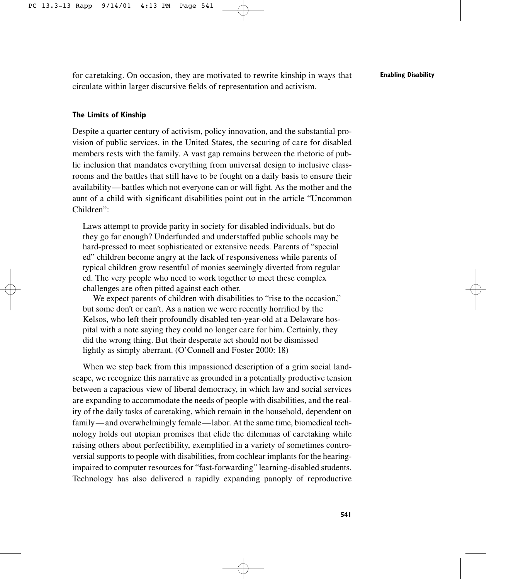for caretaking. On occasion, they are motivated to rewrite kinship in ways that circulate within larger discursive fields of representation and activism.

#### **Enabling Disability**

# **The Limits of Kinship**

Despite a quarter century of activism, policy innovation, and the substantial provision of public services, in the United States, the securing of care for disabled members rests with the family. A vast gap remains between the rhetoric of public inclusion that mandates everything from universal design to inclusive classrooms and the battles that still have to be fought on a daily basis to ensure their availability—battles which not everyone can or will fight. As the mother and the aunt of a child with significant disabilities point out in the article "Uncommon Children":

Laws attempt to provide parity in society for disabled individuals, but do they go far enough? Underfunded and understaffed public schools may be hard-pressed to meet sophisticated or extensive needs. Parents of "special ed" children become angry at the lack of responsiveness while parents of typical children grow resentful of monies seemingly diverted from regular ed. The very people who need to work together to meet these complex challenges are often pitted against each other.

We expect parents of children with disabilities to "rise to the occasion," but some don't or can't. As a nation we were recently horrified by the Kelsos, who left their profoundly disabled ten-year-old at a Delaware hospital with a note saying they could no longer care for him. Certainly, they did the wrong thing. But their desperate act should not be dismissed lightly as simply aberrant. (O'Connell and Foster 2000: 18)

When we step back from this impassioned description of a grim social landscape, we recognize this narrative as grounded in a potentially productive tension between a capacious view of liberal democracy, in which law and social services are expanding to accommodate the needs of people with disabilities, and the reality of the daily tasks of caretaking, which remain in the household, dependent on family—and overwhelmingly female—labor. At the same time, biomedical technology holds out utopian promises that elide the dilemmas of caretaking while raising others about perfectibility, exemplified in a variety of sometimes controversial supports to people with disabilities, from cochlear implants for the hearingimpaired to computer resources for "fast-forwarding" learning-disabled students. Technology has also delivered a rapidly expanding panoply of reproductive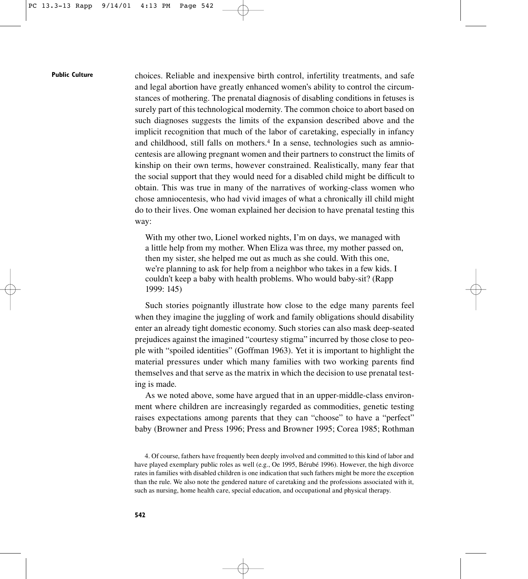choices. Reliable and inexpensive birth control, infertility treatments, and safe and legal abortion have greatly enhanced women's ability to control the circumstances of mothering. The prenatal diagnosis of disabling conditions in fetuses is surely part of this technological modernity. The common choice to abort based on such diagnoses suggests the limits of the expansion described above and the implicit recognition that much of the labor of caretaking, especially in infancy and childhood, still falls on mothers.4 In a sense, technologies such as amniocentesis are allowing pregnant women and their partners to construct the limits of kinship on their own terms, however constrained. Realistically, many fear that the social support that they would need for a disabled child might be difficult to obtain. This was true in many of the narratives of working-class women who chose amniocentesis, who had vivid images of what a chronically ill child might do to their lives. One woman explained her decision to have prenatal testing this way:

With my other two, Lionel worked nights, I'm on days, we managed with a little help from my mother. When Eliza was three, my mother passed on, then my sister, she helped me out as much as she could. With this one, we're planning to ask for help from a neighbor who takes in a few kids. I couldn't keep a baby with health problems. Who would baby-sit? (Rapp 1999: 145)

Such stories poignantly illustrate how close to the edge many parents feel when they imagine the juggling of work and family obligations should disability enter an already tight domestic economy. Such stories can also mask deep-seated prejudices against the imagined "courtesy stigma" incurred by those close to people with "spoiled identities" (Goffman 1963). Yet it is important to highlight the material pressures under which many families with two working parents find themselves and that serve as the matrix in which the decision to use prenatal testing is made.

As we noted above, some have argued that in an upper-middle-class environment where children are increasingly regarded as commodities, genetic testing raises expectations among parents that they can "choose" to have a "perfect" baby (Browner and Press 1996; Press and Browner 1995; Corea 1985; Rothman

<sup>4.</sup> Of course, fathers have frequently been deeply involved and committed to this kind of labor and have played exemplary public roles as well (e.g., Oe 1995, Bérubé 1996). However, the high divorce rates in families with disabled children is one indication that such fathers might be more the exception than the rule. We also note the gendered nature of caretaking and the professions associated with it, such as nursing, home health care, special education, and occupational and physical therapy.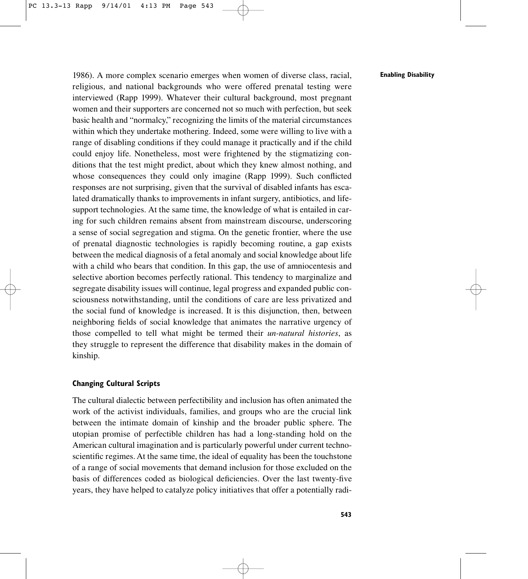1986). A more complex scenario emerges when women of diverse class, racial, religious, and national backgrounds who were offered prenatal testing were interviewed (Rapp 1999). Whatever their cultural background, most pregnant women and their supporters are concerned not so much with perfection, but seek basic health and "normalcy," recognizing the limits of the material circumstances within which they undertake mothering. Indeed, some were willing to live with a range of disabling conditions if they could manage it practically and if the child could enjoy life. Nonetheless, most were frightened by the stigmatizing conditions that the test might predict, about which they knew almost nothing, and whose consequences they could only imagine (Rapp 1999). Such conflicted responses are not surprising, given that the survival of disabled infants has escalated dramatically thanks to improvements in infant surgery, antibiotics, and lifesupport technologies. At the same time, the knowledge of what is entailed in caring for such children remains absent from mainstream discourse, underscoring a sense of social segregation and stigma. On the genetic frontier, where the use of prenatal diagnostic technologies is rapidly becoming routine, a gap exists between the medical diagnosis of a fetal anomaly and social knowledge about life with a child who bears that condition. In this gap, the use of amniocentesis and selective abortion becomes perfectly rational. This tendency to marginalize and segregate disability issues will continue, legal progress and expanded public consciousness notwithstanding, until the conditions of care are less privatized and the social fund of knowledge is increased. It is this disjunction, then, between neighboring fields of social knowledge that animates the narrative urgency of those compelled to tell what might be termed their *un-natural histories*, as they struggle to represent the difference that disability makes in the domain of kinship.

## **Changing Cultural Scripts**

The cultural dialectic between perfectibility and inclusion has often animated the work of the activist individuals, families, and groups who are the crucial link between the intimate domain of kinship and the broader public sphere. The utopian promise of perfectible children has had a long-standing hold on the American cultural imagination and is particularly powerful under current technoscientific regimes. At the same time, the ideal of equality has been the touchstone of a range of social movements that demand inclusion for those excluded on the basis of differences coded as biological deficiencies. Over the last twenty-five years, they have helped to catalyze policy initiatives that offer a potentially radi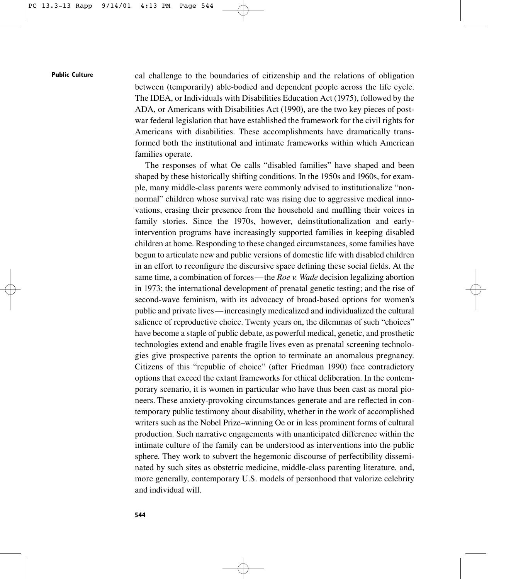cal challenge to the boundaries of citizenship and the relations of obligation between (temporarily) able-bodied and dependent people across the life cycle. The IDEA, or Individuals with Disabilities Education Act (1975), followed by the ADA, or Americans with Disabilities Act (1990), are the two key pieces of postwar federal legislation that have established the framework for the civil rights for Americans with disabilities. These accomplishments have dramatically transformed both the institutional and intimate frameworks within which American families operate.

The responses of what Oe calls "disabled families" have shaped and been shaped by these historically shifting conditions. In the 1950s and 1960s, for example, many middle-class parents were commonly advised to institutionalize "nonnormal" children whose survival rate was rising due to aggressive medical innovations, erasing their presence from the household and muffling their voices in family stories. Since the 1970s, however, deinstitutionalization and earlyintervention programs have increasingly supported families in keeping disabled children at home. Responding to these changed circumstances, some families have begun to articulate new and public versions of domestic life with disabled children in an effort to reconfigure the discursive space defining these social fields. At the same time, a combination of forces—the *Roe v. Wade* decision legalizing abortion in 1973; the international development of prenatal genetic testing; and the rise of second-wave feminism, with its advocacy of broad-based options for women's public and private lives—increasingly medicalized and individualized the cultural salience of reproductive choice. Twenty years on, the dilemmas of such "choices" have become a staple of public debate, as powerful medical, genetic, and prosthetic technologies extend and enable fragile lives even as prenatal screening technologies give prospective parents the option to terminate an anomalous pregnancy. Citizens of this "republic of choice" (after Friedman 1990) face contradictory options that exceed the extant frameworks for ethical deliberation. In the contemporary scenario, it is women in particular who have thus been cast as moral pioneers. These anxiety-provoking circumstances generate and are reflected in contemporary public testimony about disability, whether in the work of accomplished writers such as the Nobel Prize–winning Oe or in less prominent forms of cultural production. Such narrative engagements with unanticipated difference within the intimate culture of the family can be understood as interventions into the public sphere. They work to subvert the hegemonic discourse of perfectibility disseminated by such sites as obstetric medicine, middle-class parenting literature, and, more generally, contemporary U.S. models of personhood that valorize celebrity and individual will.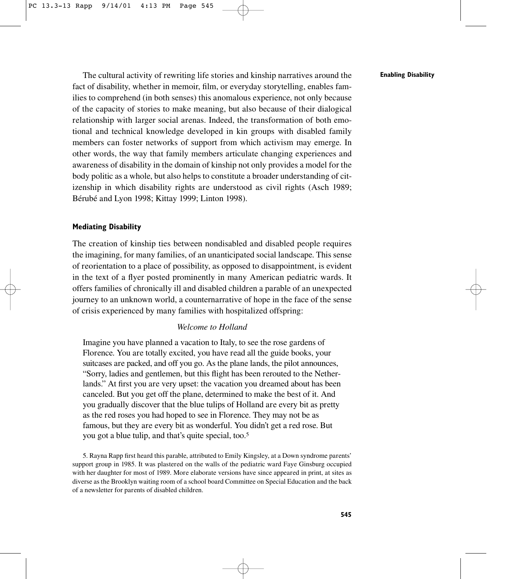The cultural activity of rewriting life stories and kinship narratives around the fact of disability, whether in memoir, film, or everyday storytelling, enables families to comprehend (in both senses) this anomalous experience, not only because of the capacity of stories to make meaning, but also because of their dialogical relationship with larger social arenas. Indeed, the transformation of both emotional and technical knowledge developed in kin groups with disabled family members can foster networks of support from which activism may emerge. In other words, the way that family members articulate changing experiences and awareness of disability in the domain of kinship not only provides a model for the body politic as a whole, but also helps to constitute a broader understanding of citizenship in which disability rights are understood as civil rights (Asch 1989; Bérubé and Lyon 1998; Kittay 1999; Linton 1998).

# **Mediating Disability**

The creation of kinship ties between nondisabled and disabled people requires the imagining, for many families, of an unanticipated social landscape. This sense of reorientation to a place of possibility, as opposed to disappointment, is evident in the text of a flyer posted prominently in many American pediatric wards. It offers families of chronically ill and disabled children a parable of an unexpected journey to an unknown world, a counternarrative of hope in the face of the sense of crisis experienced by many families with hospitalized offspring:

# *Welcome to Holland*

Imagine you have planned a vacation to Italy, to see the rose gardens of Florence. You are totally excited, you have read all the guide books, your suitcases are packed, and off you go. As the plane lands, the pilot announces, "Sorry, ladies and gentlemen, but this flight has been rerouted to the Netherlands." At first you are very upset: the vacation you dreamed about has been canceled. But you get off the plane, determined to make the best of it. And you gradually discover that the blue tulips of Holland are every bit as pretty as the red roses you had hoped to see in Florence. They may not be as famous, but they are every bit as wonderful. You didn't get a red rose. But you got a blue tulip, and that's quite special, too.5

5. Rayna Rapp first heard this parable, attributed to Emily Kingsley, at a Down syndrome parents' support group in 1985. It was plastered on the walls of the pediatric ward Faye Ginsburg occupied with her daughter for most of 1989. More elaborate versions have since appeared in print, at sites as diverse as the Brooklyn waiting room of a school board Committee on Special Education and the back of a newsletter for parents of disabled children.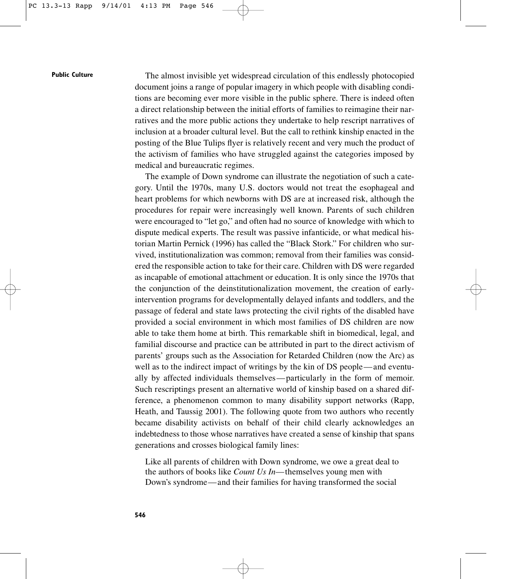The almost invisible yet widespread circulation of this endlessly photocopied document joins a range of popular imagery in which people with disabling conditions are becoming ever more visible in the public sphere. There is indeed often a direct relationship between the initial efforts of families to reimagine their narratives and the more public actions they undertake to help rescript narratives of inclusion at a broader cultural level. But the call to rethink kinship enacted in the posting of the Blue Tulips flyer is relatively recent and very much the product of the activism of families who have struggled against the categories imposed by medical and bureaucratic regimes.

The example of Down syndrome can illustrate the negotiation of such a category. Until the 1970s, many U.S. doctors would not treat the esophageal and heart problems for which newborns with DS are at increased risk, although the procedures for repair were increasingly well known. Parents of such children were encouraged to "let go," and often had no source of knowledge with which to dispute medical experts. The result was passive infanticide, or what medical historian Martin Pernick (1996) has called the "Black Stork." For children who survived, institutionalization was common; removal from their families was considered the responsible action to take for their care. Children with DS were regarded as incapable of emotional attachment or education. It is only since the 1970s that the conjunction of the deinstitutionalization movement, the creation of earlyintervention programs for developmentally delayed infants and toddlers, and the passage of federal and state laws protecting the civil rights of the disabled have provided a social environment in which most families of DS children are now able to take them home at birth. This remarkable shift in biomedical, legal, and familial discourse and practice can be attributed in part to the direct activism of parents' groups such as the Association for Retarded Children (now the Arc) as well as to the indirect impact of writings by the kin of DS people—and eventually by affected individuals themselves—particularly in the form of memoir. Such rescriptings present an alternative world of kinship based on a shared difference, a phenomenon common to many disability support networks (Rapp, Heath, and Taussig 2001). The following quote from two authors who recently became disability activists on behalf of their child clearly acknowledges an indebtedness to those whose narratives have created a sense of kinship that spans generations and crosses biological family lines:

Like all parents of children with Down syndrome, we owe a great deal to the authors of books like *Count Us In*—themselves young men with Down's syndrome—and their families for having transformed the social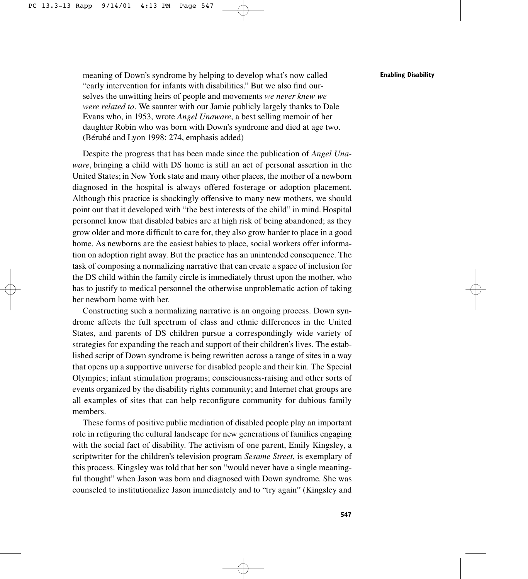meaning of Down's syndrome by helping to develop what's now called "early intervention for infants with disabilities." But we also find ourselves the unwitting heirs of people and movements *we never knew we were related to*. We saunter with our Jamie publicly largely thanks to Dale Evans who, in 1953, wrote *Angel Unaware*, a best selling memoir of her daughter Robin who was born with Down's syndrome and died at age two. (Bérubé and Lyon 1998: 274, emphasis added)

Despite the progress that has been made since the publication of *Angel Unaware*, bringing a child with DS home is still an act of personal assertion in the United States; in New York state and many other places, the mother of a newborn diagnosed in the hospital is always offered fosterage or adoption placement. Although this practice is shockingly offensive to many new mothers, we should point out that it developed with "the best interests of the child" in mind. Hospital personnel know that disabled babies are at high risk of being abandoned; as they grow older and more difficult to care for, they also grow harder to place in a good home. As newborns are the easiest babies to place, social workers offer information on adoption right away. But the practice has an unintended consequence. The task of composing a normalizing narrative that can create a space of inclusion for the DS child within the family circle is immediately thrust upon the mother, who has to justify to medical personnel the otherwise unproblematic action of taking her newborn home with her.

Constructing such a normalizing narrative is an ongoing process. Down syndrome affects the full spectrum of class and ethnic differences in the United States, and parents of DS children pursue a correspondingly wide variety of strategies for expanding the reach and support of their children's lives. The established script of Down syndrome is being rewritten across a range of sites in a way that opens up a supportive universe for disabled people and their kin. The Special Olympics; infant stimulation programs; consciousness-raising and other sorts of events organized by the disability rights community; and Internet chat groups are all examples of sites that can help reconfigure community for dubious family members.

These forms of positive public mediation of disabled people play an important role in refiguring the cultural landscape for new generations of families engaging with the social fact of disability. The activism of one parent, Emily Kingsley, a scriptwriter for the children's television program *Sesame Street*, is exemplary of this process. Kingsley was told that her son "would never have a single meaningful thought" when Jason was born and diagnosed with Down syndrome. She was counseled to institutionalize Jason immediately and to "try again" (Kingsley and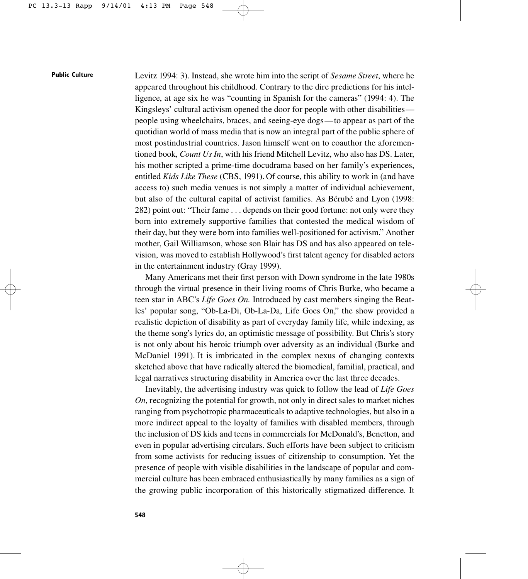Levitz 1994: 3). Instead, she wrote him into the script of *Sesame Street*, where he appeared throughout his childhood. Contrary to the dire predictions for his intelligence, at age six he was "counting in Spanish for the cameras" (1994: 4). The Kingsleys' cultural activism opened the door for people with other disabilities people using wheelchairs, braces, and seeing-eye dogs—to appear as part of the quotidian world of mass media that is now an integral part of the public sphere of most postindustrial countries. Jason himself went on to coauthor the aforementioned book, *Count Us In*, with his friend Mitchell Levitz, who also has DS. Later, his mother scripted a prime-time docudrama based on her family's experiences, entitled *Kids Like These* (CBS, 1991). Of course, this ability to work in (and have access to) such media venues is not simply a matter of individual achievement, but also of the cultural capital of activist families. As Bérubé and Lyon (1998: 282) point out: "Their fame . . . depends on their good fortune: not only were they born into extremely supportive families that contested the medical wisdom of their day, but they were born into families well-positioned for activism." Another mother, Gail Williamson, whose son Blair has DS and has also appeared on television, was moved to establish Hollywood's first talent agency for disabled actors in the entertainment industry (Gray 1999).

Many Americans met their first person with Down syndrome in the late 1980s through the virtual presence in their living rooms of Chris Burke, who became a teen star in ABC's *Life Goes On.* Introduced by cast members singing the Beatles' popular song, "Ob-La-Di, Ob-La-Da, Life Goes On," the show provided a realistic depiction of disability as part of everyday family life, while indexing, as the theme song's lyrics do, an optimistic message of possibility. But Chris's story is not only about his heroic triumph over adversity as an individual (Burke and McDaniel 1991). It is imbricated in the complex nexus of changing contexts sketched above that have radically altered the biomedical, familial, practical, and legal narratives structuring disability in America over the last three decades.

Inevitably, the advertising industry was quick to follow the lead of *Life Goes On*, recognizing the potential for growth, not only in direct sales to market niches ranging from psychotropic pharmaceuticals to adaptive technologies, but also in a more indirect appeal to the loyalty of families with disabled members, through the inclusion of DS kids and teens in commercials for McDonald's, Benetton, and even in popular advertising circulars. Such efforts have been subject to criticism from some activists for reducing issues of citizenship to consumption. Yet the presence of people with visible disabilities in the landscape of popular and commercial culture has been embraced enthusiastically by many families as a sign of the growing public incorporation of this historically stigmatized difference. It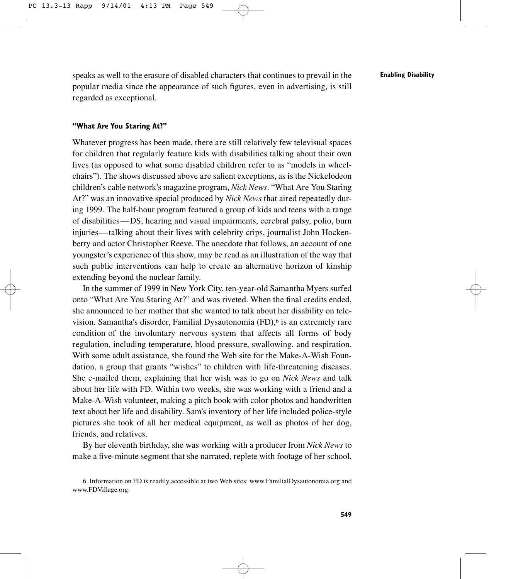speaks as well to the erasure of disabled characters that continues to prevail in the popular media since the appearance of such figures, even in advertising, is still regarded as exceptional.

# **"What Are You Staring At?"**

Whatever progress has been made, there are still relatively few televisual spaces for children that regularly feature kids with disabilities talking about their own lives (as opposed to what some disabled children refer to as "models in wheelchairs"). The shows discussed above are salient exceptions, as is the Nickelodeon children's cable network's magazine program, *Nick News*. "What Are You Staring At?" was an innovative special produced by *Nick News* that aired repeatedly during 1999. The half-hour program featured a group of kids and teens with a range of disabilities—DS, hearing and visual impairments, cerebral palsy, polio, burn injuries—talking about their lives with celebrity crips, journalist John Hockenberry and actor Christopher Reeve. The anecdote that follows, an account of one youngster's experience of this show, may be read as an illustration of the way that such public interventions can help to create an alternative horizon of kinship extending beyond the nuclear family.

In the summer of 1999 in New York City, ten-year-old Samantha Myers surfed onto "What Are You Staring At?" and was riveted. When the final credits ended, she announced to her mother that she wanted to talk about her disability on television. Samantha's disorder, Familial Dysautonomia (FD),6 is an extremely rare condition of the involuntary nervous system that affects all forms of body regulation, including temperature, blood pressure, swallowing, and respiration. With some adult assistance, she found the Web site for the Make-A-Wish Foundation, a group that grants "wishes" to children with life-threatening diseases. She e-mailed them, explaining that her wish was to go on *Nick News* and talk about her life with FD. Within two weeks, she was working with a friend and a Make-A-Wish volunteer, making a pitch book with color photos and handwritten text about her life and disability. Sam's inventory of her life included police-style pictures she took of all her medical equipment, as well as photos of her dog, friends, and relatives.

By her eleventh birthday, she was working with a producer from *Nick News* to make a five-minute segment that she narrated, replete with footage of her school,

<sup>6.</sup> Information on FD is readily accessible at two Web sites: www.FamilialDysautonomia.org and www.FDVillage.org.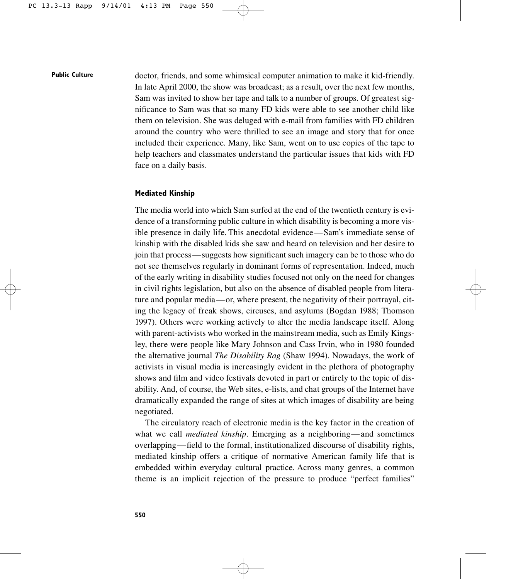doctor, friends, and some whimsical computer animation to make it kid-friendly. In late April 2000, the show was broadcast; as a result, over the next few months, Sam was invited to show her tape and talk to a number of groups. Of greatest significance to Sam was that so many FD kids were able to see another child like them on television. She was deluged with e-mail from families with FD children around the country who were thrilled to see an image and story that for once included their experience. Many, like Sam, went on to use copies of the tape to help teachers and classmates understand the particular issues that kids with FD face on a daily basis.

## **Mediated Kinship**

The media world into which Sam surfed at the end of the twentieth century is evidence of a transforming public culture in which disability is becoming a more visible presence in daily life. This anecdotal evidence—Sam's immediate sense of kinship with the disabled kids she saw and heard on television and her desire to join that process—suggests how significant such imagery can be to those who do not see themselves regularly in dominant forms of representation. Indeed, much of the early writing in disability studies focused not only on the need for changes in civil rights legislation, but also on the absence of disabled people from literature and popular media—or, where present, the negativity of their portrayal, citing the legacy of freak shows, circuses, and asylums (Bogdan 1988; Thomson 1997). Others were working actively to alter the media landscape itself. Along with parent-activists who worked in the mainstream media, such as Emily Kingsley, there were people like Mary Johnson and Cass Irvin, who in 1980 founded the alternative journal *The Disability Rag* (Shaw 1994). Nowadays, the work of activists in visual media is increasingly evident in the plethora of photography shows and film and video festivals devoted in part or entirely to the topic of disability. And, of course, the Web sites, e-lists, and chat groups of the Internet have dramatically expanded the range of sites at which images of disability are being negotiated.

The circulatory reach of electronic media is the key factor in the creation of what we call *mediated kinship*. Emerging as a neighboring—and sometimes overlapping—field to the formal, institutionalized discourse of disability rights, mediated kinship offers a critique of normative American family life that is embedded within everyday cultural practice. Across many genres, a common theme is an implicit rejection of the pressure to produce "perfect families"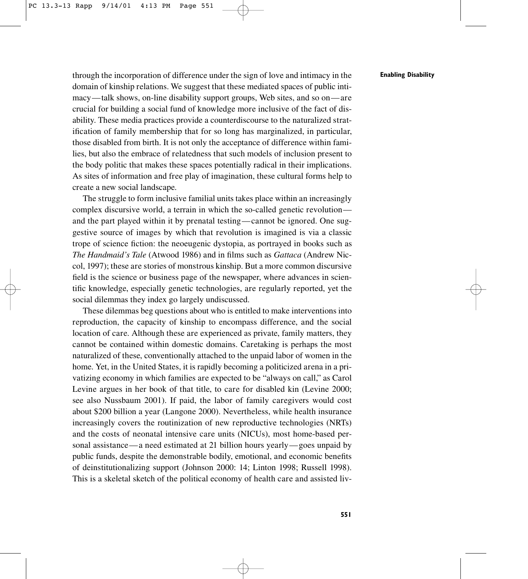through the incorporation of difference under the sign of love and intimacy in the domain of kinship relations. We suggest that these mediated spaces of public intimacy—talk shows, on-line disability support groups, Web sites, and so on—are crucial for building a social fund of knowledge more inclusive of the fact of disability. These media practices provide a counterdiscourse to the naturalized stratification of family membership that for so long has marginalized, in particular, those disabled from birth. It is not only the acceptance of difference within families, but also the embrace of relatedness that such models of inclusion present to the body politic that makes these spaces potentially radical in their implications. As sites of information and free play of imagination, these cultural forms help to create a new social landscape.

The struggle to form inclusive familial units takes place within an increasingly complex discursive world, a terrain in which the so-called genetic revolution and the part played within it by prenatal testing—cannot be ignored. One suggestive source of images by which that revolution is imagined is via a classic trope of science fiction: the neoeugenic dystopia, as portrayed in books such as *The Handmaid's Tale* (Atwood 1986) and in films such as *Gattaca* (Andrew Niccol, 1997); these are stories of monstrous kinship. But a more common discursive field is the science or business page of the newspaper, where advances in scientific knowledge, especially genetic technologies, are regularly reported, yet the social dilemmas they index go largely undiscussed.

These dilemmas beg questions about who is entitled to make interventions into reproduction, the capacity of kinship to encompass difference, and the social location of care. Although these are experienced as private, family matters, they cannot be contained within domestic domains. Caretaking is perhaps the most naturalized of these, conventionally attached to the unpaid labor of women in the home. Yet, in the United States, it is rapidly becoming a politicized arena in a privatizing economy in which families are expected to be "always on call," as Carol Levine argues in her book of that title, to care for disabled kin (Levine 2000; see also Nussbaum 2001). If paid, the labor of family caregivers would cost about \$200 billion a year (Langone 2000). Nevertheless, while health insurance increasingly covers the routinization of new reproductive technologies (NRTs) and the costs of neonatal intensive care units (NICUs), most home-based personal assistance—a need estimated at 21 billion hours yearly—goes unpaid by public funds, despite the demonstrable bodily, emotional, and economic benefits of deinstitutionalizing support (Johnson 2000: 14; Linton 1998; Russell 1998). This is a skeletal sketch of the political economy of health care and assisted liv-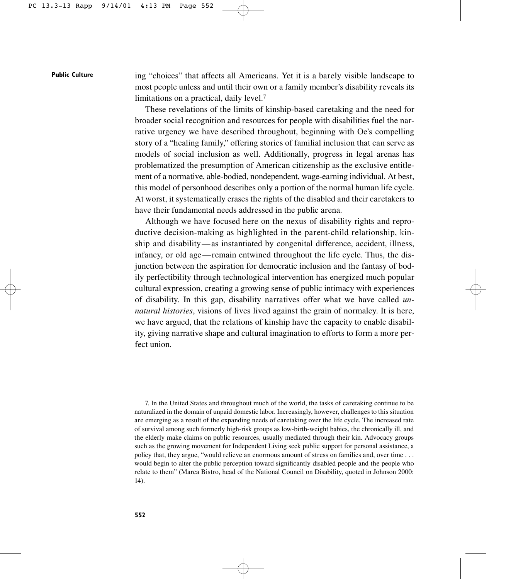ing "choices" that affects all Americans. Yet it is a barely visible landscape to most people unless and until their own or a family member's disability reveals its limitations on a practical, daily level.7

These revelations of the limits of kinship-based caretaking and the need for broader social recognition and resources for people with disabilities fuel the narrative urgency we have described throughout, beginning with Oe's compelling story of a "healing family," offering stories of familial inclusion that can serve as models of social inclusion as well. Additionally, progress in legal arenas has problematized the presumption of American citizenship as the exclusive entitlement of a normative, able-bodied, nondependent, wage-earning individual. At best, this model of personhood describes only a portion of the normal human life cycle. At worst, it systematically erases the rights of the disabled and their caretakers to have their fundamental needs addressed in the public arena.

Although we have focused here on the nexus of disability rights and reproductive decision-making as highlighted in the parent-child relationship, kinship and disability—as instantiated by congenital difference, accident, illness, infancy, or old age—remain entwined throughout the life cycle. Thus, the disjunction between the aspiration for democratic inclusion and the fantasy of bodily perfectibility through technological intervention has energized much popular cultural expression, creating a growing sense of public intimacy with experiences of disability. In this gap, disability narratives offer what we have called *unnatural histories*, visions of lives lived against the grain of normalcy. It is here, we have argued, that the relations of kinship have the capacity to enable disability, giving narrative shape and cultural imagination to efforts to form a more perfect union.

7. In the United States and throughout much of the world, the tasks of caretaking continue to be naturalized in the domain of unpaid domestic labor. Increasingly, however, challenges to this situation are emerging as a result of the expanding needs of caretaking over the life cycle. The increased rate of survival among such formerly high-risk groups as low-birth-weight babies, the chronically ill, and the elderly make claims on public resources, usually mediated through their kin. Advocacy groups such as the growing movement for Independent Living seek public support for personal assistance, a policy that, they argue, "would relieve an enormous amount of stress on families and, over time . . . would begin to alter the public perception toward significantly disabled people and the people who relate to them" (Marca Bistro, head of the National Council on Disability, quoted in Johnson 2000: 14).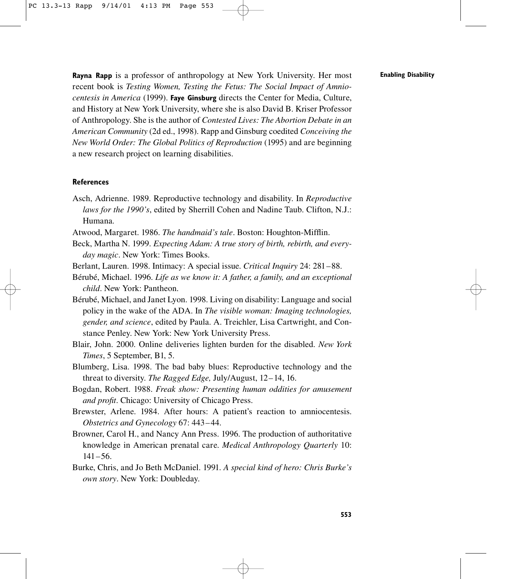**Rayna Rapp** is a professor of anthropology at New York University. Her most recent book is *Testing Women, Testing the Fetus: The Social Impact of Amniocentesis in America* (1999). **Faye Ginsburg** directs the Center for Media, Culture, and History at New York University, where she is also David B. Kriser Professor of Anthropology. She is the author of *Contested Lives: The Abortion Debate in an American Community* (2d ed., 1998). Rapp and Ginsburg coedited *Conceiving the New World Order: The Global Politics of Reproduction* (1995) and are beginning a new research project on learning disabilities.

## **References**

- Asch, Adrienne. 1989. Reproductive technology and disability. In *Reproductive laws for the 1990's*, edited by Sherrill Cohen and Nadine Taub. Clifton, N.J.: Humana.
- Atwood, Margaret. 1986. *The handmaid's tale*. Boston: Houghton-Mifflin.
- Beck, Martha N. 1999. *Expecting Adam: A true story of birth, rebirth, and everyday magic*. New York: Times Books.
- Berlant, Lauren. 1998. Intimacy: A special issue. *Critical Inquiry* 24: 281–88.
- Bérubé, Michael. 1996. *Life as we know it: A father, a family, and an exceptional child*. New York: Pantheon.
- Bérubé, Michael, and Janet Lyon. 1998. Living on disability: Language and social policy in the wake of the ADA. In *The visible woman: Imaging technologies, gender, and science*, edited by Paula. A. Treichler, Lisa Cartwright, and Constance Penley. New York: New York University Press.
- Blair, John. 2000. Online deliveries lighten burden for the disabled. *New York Times*, 5 September, B1, 5.
- Blumberg, Lisa. 1998. The bad baby blues: Reproductive technology and the threat to diversity. *The Ragged Edge,* July/August, 12–14, 16.
- Bogdan, Robert. 1988. *Freak show: Presenting human oddities for amusement and profit*. Chicago: University of Chicago Press.
- Brewster, Arlene. 1984. After hours: A patient's reaction to amniocentesis. *Obstetrics and Gynecology* 67: 443–44.
- Browner, Carol H., and Nancy Ann Press. 1996. The production of authoritative knowledge in American prenatal care. *Medical Anthropology Quarterly* 10: 141–56.
- Burke, Chris, and Jo Beth McDaniel. 1991*. A special kind of hero: Chris Burke's own story*. New York: Doubleday.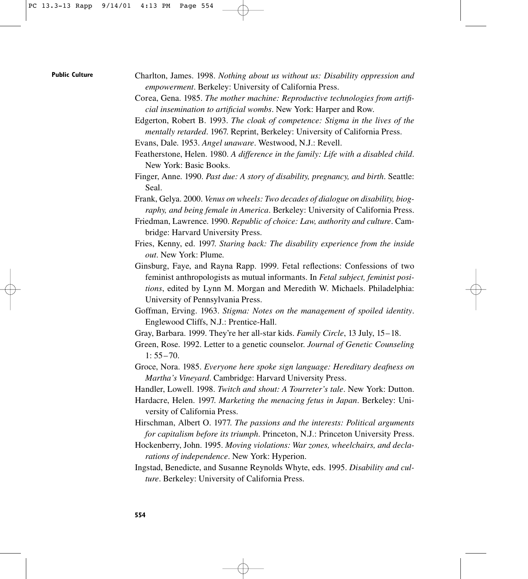| Public Culture |  |
|----------------|--|
|----------------|--|

Charlton, James. 1998. *Nothing about us without us: Disability oppression and empowerment*. Berkeley: University of California Press.

Corea, Gena. 1985. *The mother machine: Reproductive technologies from artificial insemination to artificial wombs*. New York: Harper and Row.

- Edgerton, Robert B. 1993. *The cloak of competence: Stigma in the lives of the mentally retarded*. 1967. Reprint, Berkeley: University of California Press.
- Evans, Dale. 1953. *Angel unaware*. Westwood, N.J.: Revell.
- Featherstone, Helen. 1980. *A difference in the family: Life with a disabled child*. New York: Basic Books.
- Finger, Anne. 1990. *Past due: A story of disability, pregnancy, and birth*. Seattle: Seal.

Frank, Gelya. 2000. *Venus on wheels: Two decades of dialogue on disability, biography, and being female in America*. Berkeley: University of California Press.

- Friedman, Lawrence. 1990. *Republic of choice: Law, authority and culture*. Cambridge: Harvard University Press.
- Fries, Kenny, ed. 1997. *Staring back: The disability experience from the inside out*. New York: Plume.
- Ginsburg, Faye, and Rayna Rapp. 1999. Fetal reflections: Confessions of two feminist anthropologists as mutual informants. In *Fetal subject, feminist positions*, edited by Lynn M. Morgan and Meredith W. Michaels. Philadelphia: University of Pennsylvania Press.
- Goffman, Erving. 1963. *Stigma: Notes on the management of spoiled identity*. Englewood Cliffs, N.J.: Prentice-Hall.
- Gray, Barbara. 1999. They're her all-star kids. *Family Circle*, 13 July, 15–18.
- Green, Rose. 1992. Letter to a genetic counselor. *Journal of Genetic Counseling* 1: 55–70.
- Groce, Nora. 1985. *Everyone here spoke sign language: Hereditary deafness on Martha's Vineyard*. Cambridge: Harvard University Press.
- Handler, Lowell. 1998. *Twitch and shout: A Tourreter's tale*. New York: Dutton.
- Hardacre, Helen. 1997. *Marketing the menacing fetus in Japan*. Berkeley: University of California Press.
- Hirschman, Albert O. 1977. *The passions and the interests: Political arguments for capitalism before its triumph*. Princeton, N.J.: Princeton University Press.
- Hockenberry, John. 1995. *Moving violations: War zones, wheelchairs, and declarations of independence*. New York: Hyperion.
- Ingstad, Benedicte, and Susanne Reynolds Whyte, eds. 1995. *Disability and culture*. Berkeley: University of California Press.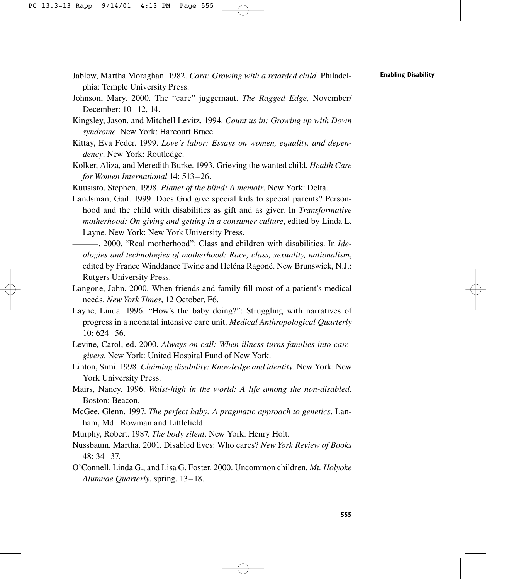- Jablow, Martha Moraghan. 1982. *Cara: Growing with a retarded child*. Philadelphia: Temple University Press.
- Johnson, Mary. 2000. The "care" juggernaut. *The Ragged Edge,* November/ December: 10–12, 14.
- Kingsley, Jason, and Mitchell Levitz. 1994. *Count us in: Growing up with Down syndrome*. New York: Harcourt Brace.
- Kittay, Eva Feder. 1999. *Love's labor: Essays on women, equality, and dependency*. New York: Routledge.
- Kolker, Aliza, and Meredith Burke. 1993. Grieving the wanted child*. Health Care for Women International* 14: 513–26.
- Kuusisto, Stephen. 1998. *Planet of the blind: A memoir*. New York: Delta.
- Landsman, Gail. 1999. Does God give special kids to special parents? Personhood and the child with disabilities as gift and as giver. In *Transformative motherhood: On giving and getting in a consumer culture*, edited by Linda L. Layne. New York: New York University Press.
	- ———. 2000. "Real motherhood": Class and children with disabilities. In *Ideologies and technologies of motherhood: Race, class, sexuality, nationalism*, edited by France Winddance Twine and Heléna Ragoné. New Brunswick, N.J.: Rutgers University Press.
- Langone, John. 2000. When friends and family fill most of a patient's medical needs. *New York Times*, 12 October, F6.
- Layne, Linda. 1996. "How's the baby doing?": Struggling with narratives of progress in a neonatal intensive care unit. *Medical Anthropological Quarterly* 10: 624–56.
- Levine, Carol, ed. 2000. *Always on call: When illness turns families into caregivers*. New York: United Hospital Fund of New York.
- Linton, Simi. 1998. *Claiming disability: Knowledge and identity*. New York: New York University Press.
- Mairs, Nancy. 1996. *Waist-high in the world: A life among the non-disabled*. Boston: Beacon.
- McGee, Glenn. 1997. *The perfect baby: A pragmatic approach to genetics*. Lanham, Md.: Rowman and Littlefield.
- Murphy, Robert. 1987. *The body silent*. New York: Henry Holt.
- Nussbaum, Martha. 2001. Disabled lives: Who cares? *New York Review of Books* 48: 34–37.
- O'Connell, Linda G., and Lisa G. Foster. 2000. Uncommon children*. Mt. Holyoke Alumnae Quarterly*, spring, 13–18.